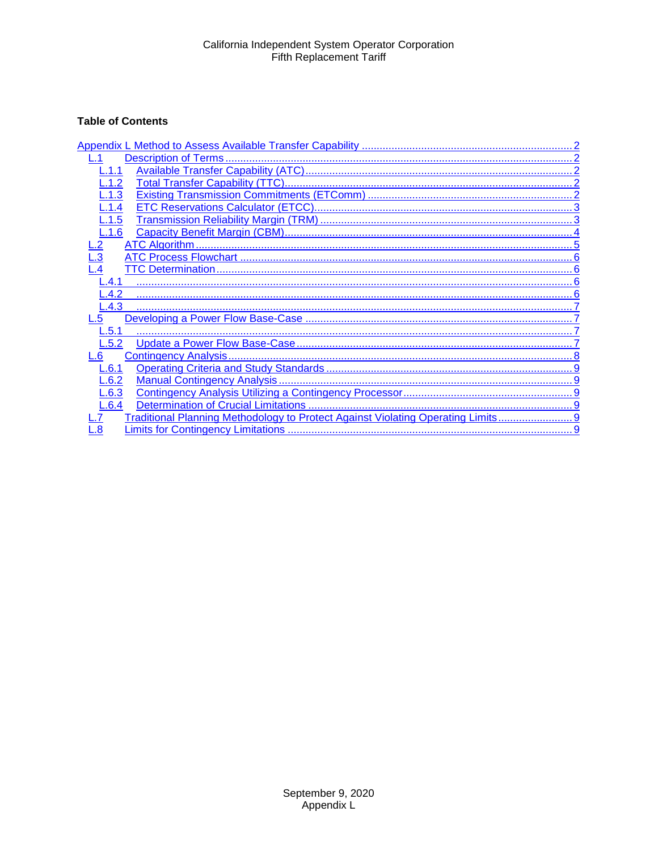# **Table of Contents**

| 1.1                                                                            |
|--------------------------------------------------------------------------------|
| $-.1.2$                                                                        |
| L.1.3                                                                          |
| L.1.4                                                                          |
| L.1.5                                                                          |
| L.1.6                                                                          |
|                                                                                |
| $\overline{3}$                                                                 |
|                                                                                |
| $\mathsf{L.4.1}$                                                               |
| $-.4.2$                                                                        |
| L.4.3                                                                          |
| .5                                                                             |
| L.5.1                                                                          |
| $-.5.2$                                                                        |
| .6                                                                             |
| .6.1                                                                           |
| L.6.2                                                                          |
| L.6.3                                                                          |
| L.6.4                                                                          |
| Traditional Planning Methodology to Protect Against Violating Operating Limits |
| $\overline{\bf 8}$                                                             |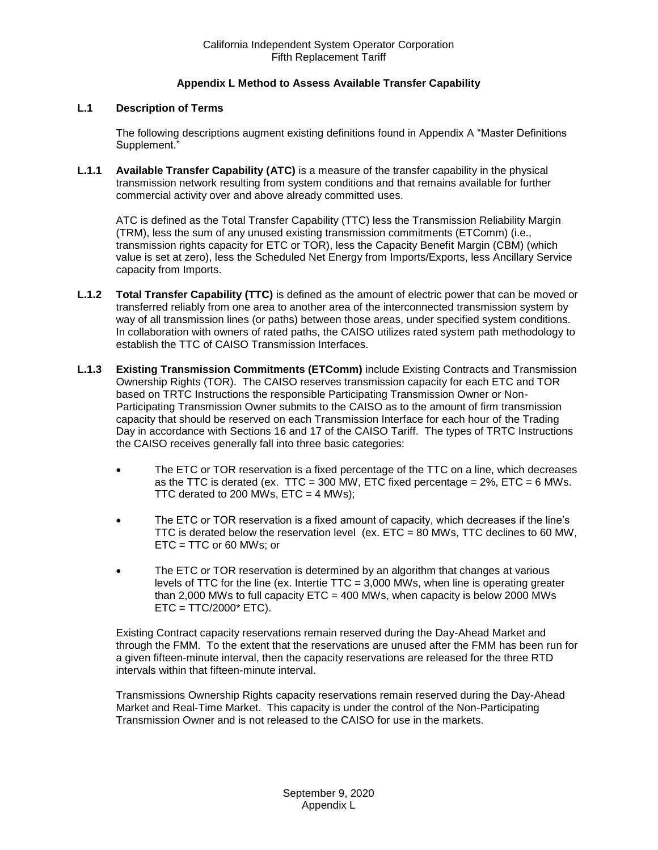## **Appendix L Method to Assess Available Transfer Capability**

## <span id="page-1-1"></span><span id="page-1-0"></span>**L.1 Description of Terms**

The following descriptions augment existing definitions found in Appendix A "Master Definitions Supplement."

<span id="page-1-2"></span>**L.1.1 Available Transfer Capability (ATC)** is a measure of the transfer capability in the physical transmission network resulting from system conditions and that remains available for further commercial activity over and above already committed uses.

ATC is defined as the Total Transfer Capability (TTC) less the Transmission Reliability Margin (TRM), less the sum of any unused existing transmission commitments (ETComm) (i.e., transmission rights capacity for ETC or TOR), less the Capacity Benefit Margin (CBM) (which value is set at zero), less the Scheduled Net Energy from Imports/Exports, less Ancillary Service capacity from Imports.

- <span id="page-1-3"></span>**L.1.2 Total Transfer Capability (TTC)** is defined as the amount of electric power that can be moved or transferred reliably from one area to another area of the interconnected transmission system by way of all transmission lines (or paths) between those areas, under specified system conditions. In collaboration with owners of rated paths, the CAISO utilizes rated system path methodology to establish the TTC of CAISO Transmission Interfaces.
- <span id="page-1-4"></span>**L.1.3 Existing Transmission Commitments (ETComm)** include Existing Contracts and Transmission Ownership Rights (TOR). The CAISO reserves transmission capacity for each ETC and TOR based on TRTC Instructions the responsible Participating Transmission Owner or Non-Participating Transmission Owner submits to the CAISO as to the amount of firm transmission capacity that should be reserved on each Transmission Interface for each hour of the Trading Day in accordance with Sections 16 and 17 of the CAISO Tariff. The types of TRTC Instructions the CAISO receives generally fall into three basic categories:
	- The ETC or TOR reservation is a fixed percentage of the TTC on a line, which decreases as the TTC is derated (ex. TTC = 300 MW, ETC fixed percentage =  $2\%$ , ETC = 6 MWs. TTC derated to 200 MWs,  $ETC = 4$  MWs);
	- The ETC or TOR reservation is a fixed amount of capacity, which decreases if the line's TTC is derated below the reservation level (ex.  $ETC = 80$  MWs, TTC declines to 60 MW, ETC = TTC or 60 MWs; or
	- The ETC or TOR reservation is determined by an algorithm that changes at various levels of TTC for the line (ex. Intertie TTC = 3,000 MWs, when line is operating greater than 2,000 MWs to full capacity  $ETC = 400$  MWs, when capacity is below 2000 MWs  $ETC = TTC/2000* ETC$ ).

Existing Contract capacity reservations remain reserved during the Day-Ahead Market and through the FMM. To the extent that the reservations are unused after the FMM has been run for a given fifteen-minute interval, then the capacity reservations are released for the three RTD intervals within that fifteen-minute interval.

Transmissions Ownership Rights capacity reservations remain reserved during the Day-Ahead Market and Real-Time Market. This capacity is under the control of the Non-Participating Transmission Owner and is not released to the CAISO for use in the markets.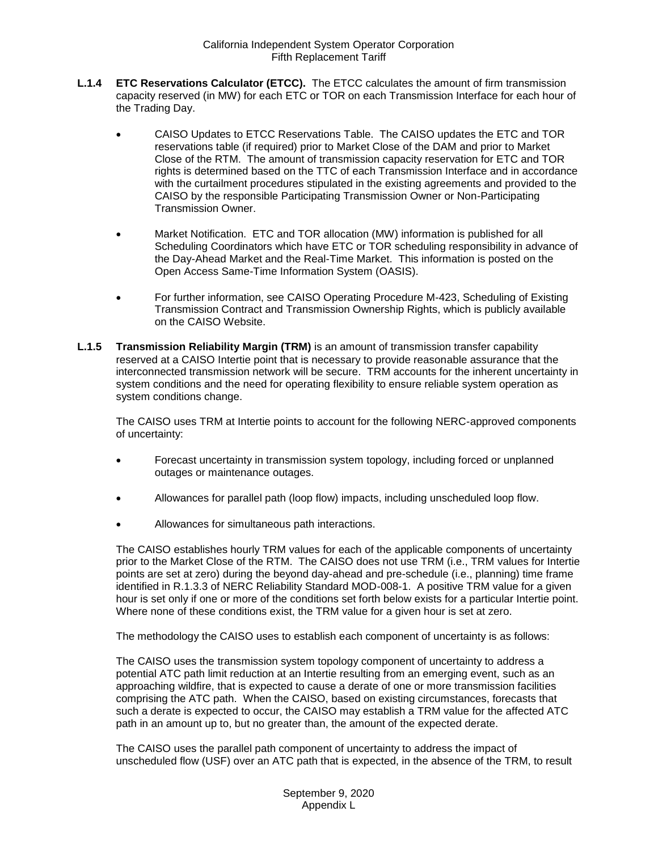- <span id="page-2-0"></span>**L.1.4 ETC Reservations Calculator (ETCC).** The ETCC calculates the amount of firm transmission capacity reserved (in MW) for each ETC or TOR on each Transmission Interface for each hour of the Trading Day.
	- CAISO Updates to ETCC Reservations Table. The CAISO updates the ETC and TOR reservations table (if required) prior to Market Close of the DAM and prior to Market Close of the RTM. The amount of transmission capacity reservation for ETC and TOR rights is determined based on the TTC of each Transmission Interface and in accordance with the curtailment procedures stipulated in the existing agreements and provided to the CAISO by the responsible Participating Transmission Owner or Non-Participating Transmission Owner.
	- Market Notification. ETC and TOR allocation (MW) information is published for all Scheduling Coordinators which have ETC or TOR scheduling responsibility in advance of the Day-Ahead Market and the Real-Time Market. This information is posted on the Open Access Same-Time Information System (OASIS).
	- For further information, see CAISO Operating Procedure M-423, Scheduling of Existing Transmission Contract and Transmission Ownership Rights, which is publicly available on the CAISO Website.
- <span id="page-2-1"></span>**L.1.5 Transmission Reliability Margin (TRM)** is an amount of transmission transfer capability reserved at a CAISO Intertie point that is necessary to provide reasonable assurance that the interconnected transmission network will be secure. TRM accounts for the inherent uncertainty in system conditions and the need for operating flexibility to ensure reliable system operation as system conditions change.

The CAISO uses TRM at Intertie points to account for the following NERC-approved components of uncertainty:

- Forecast uncertainty in transmission system topology, including forced or unplanned outages or maintenance outages.
- Allowances for parallel path (loop flow) impacts, including unscheduled loop flow.
- Allowances for simultaneous path interactions.

The CAISO establishes hourly TRM values for each of the applicable components of uncertainty prior to the Market Close of the RTM. The CAISO does not use TRM (i.e., TRM values for Intertie points are set at zero) during the beyond day-ahead and pre-schedule (i.e., planning) time frame identified in R.1.3.3 of NERC Reliability Standard MOD-008-1. A positive TRM value for a given hour is set only if one or more of the conditions set forth below exists for a particular Intertie point. Where none of these conditions exist, the TRM value for a given hour is set at zero.

The methodology the CAISO uses to establish each component of uncertainty is as follows:

The CAISO uses the transmission system topology component of uncertainty to address a potential ATC path limit reduction at an Intertie resulting from an emerging event, such as an approaching wildfire, that is expected to cause a derate of one or more transmission facilities comprising the ATC path. When the CAISO, based on existing circumstances, forecasts that such a derate is expected to occur, the CAISO may establish a TRM value for the affected ATC path in an amount up to, but no greater than, the amount of the expected derate.

The CAISO uses the parallel path component of uncertainty to address the impact of unscheduled flow (USF) over an ATC path that is expected, in the absence of the TRM, to result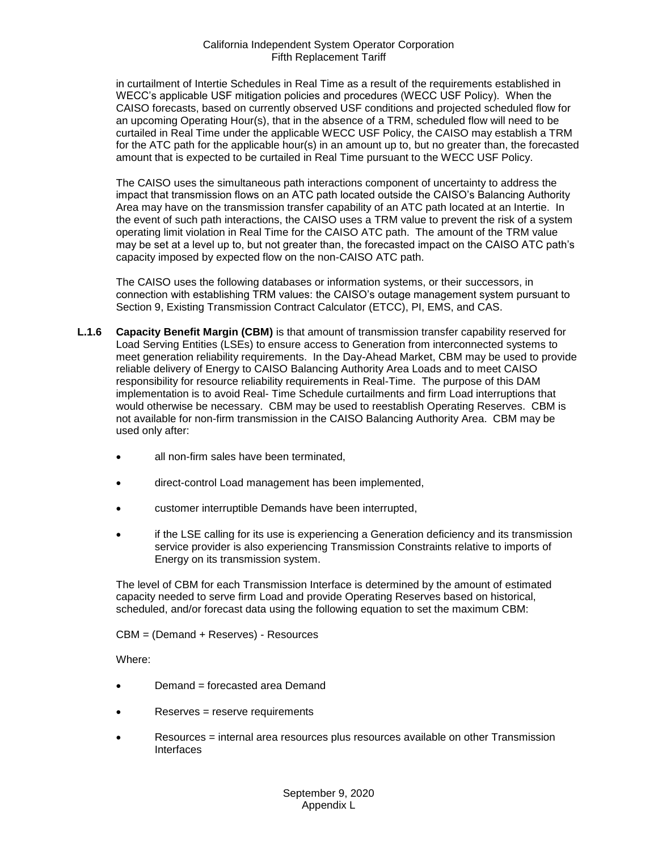in curtailment of Intertie Schedules in Real Time as a result of the requirements established in WECC's applicable USF mitigation policies and procedures (WECC USF Policy). When the CAISO forecasts, based on currently observed USF conditions and projected scheduled flow for an upcoming Operating Hour(s), that in the absence of a TRM, scheduled flow will need to be curtailed in Real Time under the applicable WECC USF Policy, the CAISO may establish a TRM for the ATC path for the applicable hour(s) in an amount up to, but no greater than, the forecasted amount that is expected to be curtailed in Real Time pursuant to the WECC USF Policy.

The CAISO uses the simultaneous path interactions component of uncertainty to address the impact that transmission flows on an ATC path located outside the CAISO's Balancing Authority Area may have on the transmission transfer capability of an ATC path located at an Intertie. In the event of such path interactions, the CAISO uses a TRM value to prevent the risk of a system operating limit violation in Real Time for the CAISO ATC path. The amount of the TRM value may be set at a level up to, but not greater than, the forecasted impact on the CAISO ATC path's capacity imposed by expected flow on the non-CAISO ATC path.

The CAISO uses the following databases or information systems, or their successors, in connection with establishing TRM values: the CAISO's outage management system pursuant to Section 9, Existing Transmission Contract Calculator (ETCC), PI, EMS, and CAS.

- <span id="page-3-0"></span>**L.1.6 Capacity Benefit Margin (CBM)** is that amount of transmission transfer capability reserved for Load Serving Entities (LSEs) to ensure access to Generation from interconnected systems to meet generation reliability requirements. In the Day-Ahead Market, CBM may be used to provide reliable delivery of Energy to CAISO Balancing Authority Area Loads and to meet CAISO responsibility for resource reliability requirements in Real-Time. The purpose of this DAM implementation is to avoid Real- Time Schedule curtailments and firm Load interruptions that would otherwise be necessary. CBM may be used to reestablish Operating Reserves. CBM is not available for non-firm transmission in the CAISO Balancing Authority Area. CBM may be used only after:
	- all non-firm sales have been terminated,
	- direct-control Load management has been implemented,
	- customer interruptible Demands have been interrupted,
	- if the LSE calling for its use is experiencing a Generation deficiency and its transmission service provider is also experiencing Transmission Constraints relative to imports of Energy on its transmission system.

The level of CBM for each Transmission Interface is determined by the amount of estimated capacity needed to serve firm Load and provide Operating Reserves based on historical, scheduled, and/or forecast data using the following equation to set the maximum CBM:

CBM = (Demand + Reserves) - Resources

Where:

- Demand = forecasted area Demand
- Reserves = reserve requirements
- Resources = internal area resources plus resources available on other Transmission Interfaces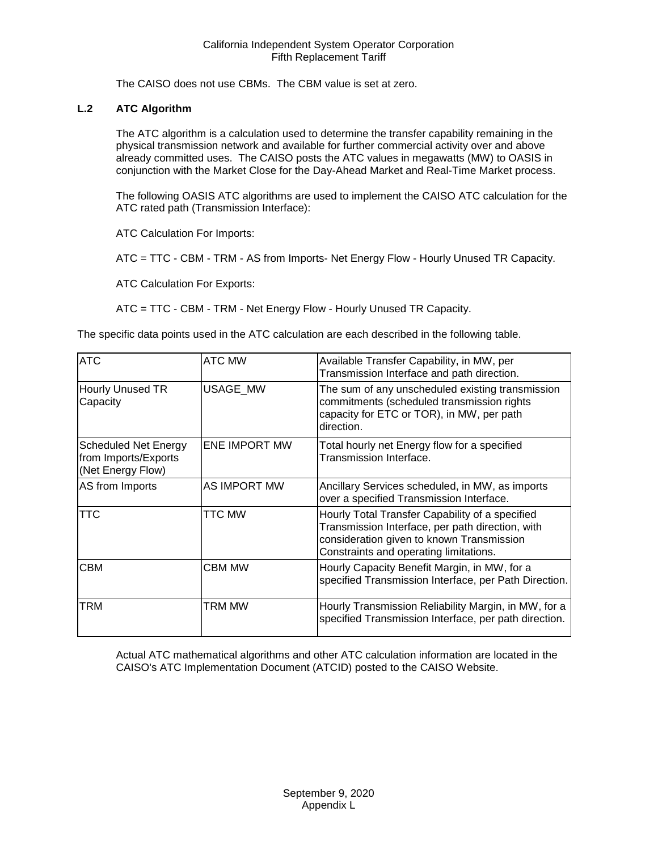The CAISO does not use CBMs. The CBM value is set at zero.

# <span id="page-4-0"></span>**L.2 ATC Algorithm**

The ATC algorithm is a calculation used to determine the transfer capability remaining in the physical transmission network and available for further commercial activity over and above already committed uses. The CAISO posts the ATC values in megawatts (MW) to OASIS in conjunction with the Market Close for the Day-Ahead Market and Real-Time Market process.

The following OASIS ATC algorithms are used to implement the CAISO ATC calculation for the ATC rated path (Transmission Interface):

ATC Calculation For Imports:

ATC = TTC - CBM - TRM - AS from Imports- Net Energy Flow - Hourly Unused TR Capacity.

ATC Calculation For Exports:

ATC = TTC - CBM - TRM - Net Energy Flow - Hourly Unused TR Capacity.

The specific data points used in the ATC calculation are each described in the following table.

| <b>ATC</b>                                                               | ATC MW               | Available Transfer Capability, in MW, per<br>Transmission Interface and path direction.                                                                                                    |
|--------------------------------------------------------------------------|----------------------|--------------------------------------------------------------------------------------------------------------------------------------------------------------------------------------------|
| <b>Hourly Unused TR</b><br>Capacity                                      | USAGE_MW             | The sum of any unscheduled existing transmission<br>commitments (scheduled transmission rights<br>capacity for ETC or TOR), in MW, per path<br>direction.                                  |
| <b>Scheduled Net Energy</b><br>from Imports/Exports<br>(Net Energy Flow) | <b>ENE IMPORT MW</b> | Total hourly net Energy flow for a specified<br>Transmission Interface.                                                                                                                    |
| AS from Imports                                                          | AS IMPORT MW         | Ancillary Services scheduled, in MW, as imports<br>over a specified Transmission Interface.                                                                                                |
| TTC                                                                      | TTC MW               | Hourly Total Transfer Capability of a specified<br>Transmission Interface, per path direction, with<br>consideration given to known Transmission<br>Constraints and operating limitations. |
| <b>CBM</b>                                                               | <b>CBM MW</b>        | Hourly Capacity Benefit Margin, in MW, for a<br>specified Transmission Interface, per Path Direction.                                                                                      |
| TRM                                                                      | TRM MW               | Hourly Transmission Reliability Margin, in MW, for a<br>specified Transmission Interface, per path direction.                                                                              |

Actual ATC mathematical algorithms and other ATC calculation information are located in the CAISO's ATC Implementation Document (ATCID) posted to the CAISO Website.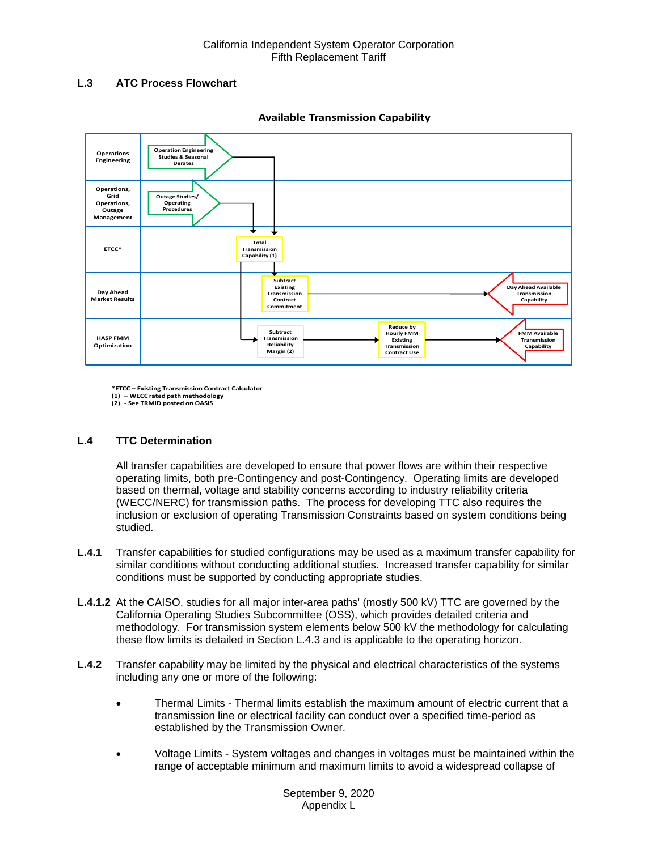# <span id="page-5-0"></span>**L.3 ATC Process Flowchart**



**Available Transmission Capability**

**\*ETCC – Existing Transmission Contract Calculator**

**(1) – WECC rated path methodology (2) - See TRMID posted on OASIS**

# <span id="page-5-1"></span>**L.4 TTC Determination**

All transfer capabilities are developed to ensure that power flows are within their respective operating limits, both pre-Contingency and post-Contingency. Operating limits are developed based on thermal, voltage and stability concerns according to industry reliability criteria (WECC/NERC) for transmission paths. The process for developing TTC also requires the inclusion or exclusion of operating Transmission Constraints based on system conditions being studied.

- <span id="page-5-2"></span>**L.4.1** Transfer capabilities for studied configurations may be used as a maximum transfer capability for similar conditions without conducting additional studies. Increased transfer capability for similar conditions must be supported by conducting appropriate studies.
- **L.4.1.2** At the CAISO, studies for all major inter-area paths' (mostly 500 kV) TTC are governed by the California Operating Studies Subcommittee (OSS), which provides detailed criteria and methodology. For transmission system elements below 500 kV the methodology for calculating these flow limits is detailed in Section L.4.3 and is applicable to the operating horizon.
- <span id="page-5-3"></span>**L.4.2** Transfer capability may be limited by the physical and electrical characteristics of the systems including any one or more of the following:
	- Thermal Limits Thermal limits establish the maximum amount of electric current that a transmission line or electrical facility can conduct over a specified time-period as established by the Transmission Owner.
	- Voltage Limits System voltages and changes in voltages must be maintained within the range of acceptable minimum and maximum limits to avoid a widespread collapse of

September 9, 2020 Appendix L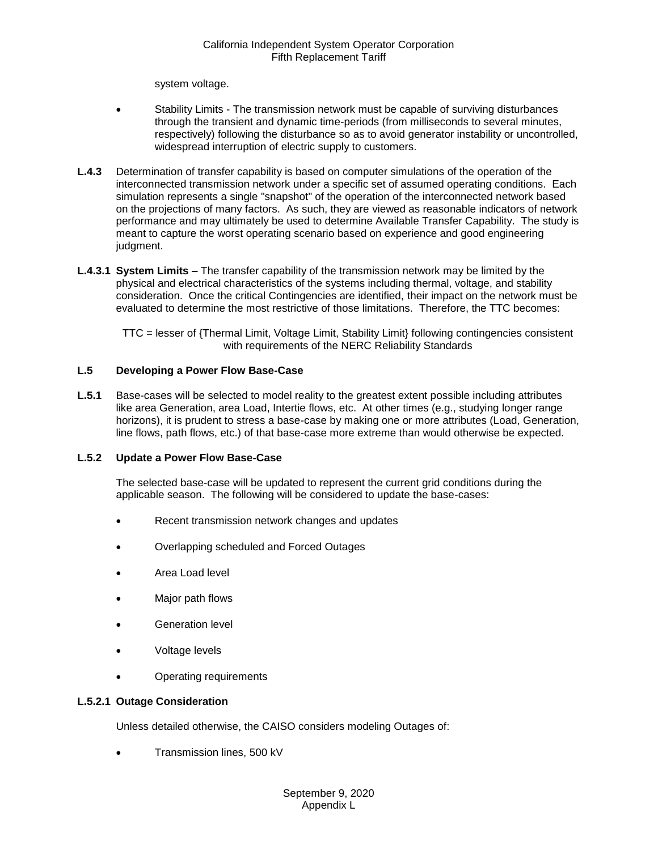system voltage.

- Stability Limits The transmission network must be capable of surviving disturbances through the transient and dynamic time-periods (from milliseconds to several minutes, respectively) following the disturbance so as to avoid generator instability or uncontrolled, widespread interruption of electric supply to customers.
- <span id="page-6-0"></span>**L.4.3** Determination of transfer capability is based on computer simulations of the operation of the interconnected transmission network under a specific set of assumed operating conditions. Each simulation represents a single "snapshot" of the operation of the interconnected network based on the projections of many factors. As such, they are viewed as reasonable indicators of network performance and may ultimately be used to determine Available Transfer Capability. The study is meant to capture the worst operating scenario based on experience and good engineering judgment.
- **L.4.3.1 System Limits –** The transfer capability of the transmission network may be limited by the physical and electrical characteristics of the systems including thermal, voltage, and stability consideration. Once the critical Contingencies are identified, their impact on the network must be evaluated to determine the most restrictive of those limitations. Therefore, the TTC becomes:

TTC = lesser of {Thermal Limit, Voltage Limit, Stability Limit} following contingencies consistent with requirements of the NERC Reliability Standards

## <span id="page-6-1"></span>**L.5 Developing a Power Flow Base-Case**

<span id="page-6-2"></span>**L.5.1** Base-cases will be selected to model reality to the greatest extent possible including attributes like area Generation, area Load, Intertie flows, etc. At other times (e.g., studying longer range horizons), it is prudent to stress a base-case by making one or more attributes (Load, Generation, line flows, path flows, etc.) of that base-case more extreme than would otherwise be expected.

#### <span id="page-6-3"></span>**L.5.2 Update a Power Flow Base-Case**

The selected base-case will be updated to represent the current grid conditions during the applicable season. The following will be considered to update the base-cases:

- Recent transmission network changes and updates
- Overlapping scheduled and Forced Outages
- Area Load level
- Major path flows
- Generation level
- Voltage levels
- Operating requirements

#### **L.5.2.1 Outage Consideration**

Unless detailed otherwise, the CAISO considers modeling Outages of:

Transmission lines, 500 kV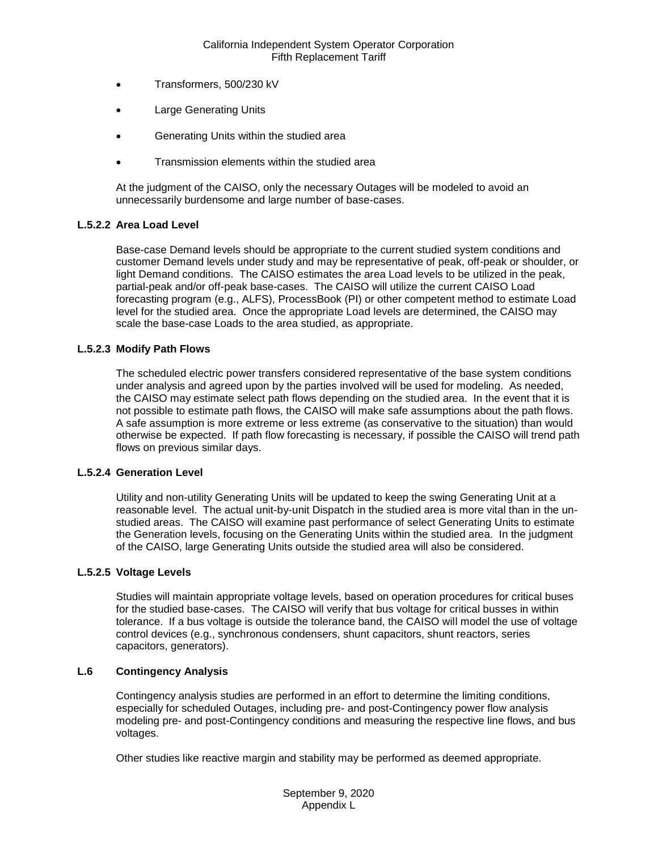- Transformers, 500/230 kV
- Large Generating Units
- Generating Units within the studied area
- Transmission elements within the studied area

At the judgment of the CAISO, only the necessary Outages will be modeled to avoid an unnecessarily burdensome and large number of base-cases.

## **L.5.2.2 Area Load Level**

Base-case Demand levels should be appropriate to the current studied system conditions and customer Demand levels under study and may be representative of peak, off-peak or shoulder, or light Demand conditions. The CAISO estimates the area Load levels to be utilized in the peak, partial-peak and/or off-peak base-cases. The CAISO will utilize the current CAISO Load forecasting program (e.g., ALFS), ProcessBook (PI) or other competent method to estimate Load level for the studied area. Once the appropriate Load levels are determined, the CAISO may scale the base-case Loads to the area studied, as appropriate.

## **L.5.2.3 Modify Path Flows**

The scheduled electric power transfers considered representative of the base system conditions under analysis and agreed upon by the parties involved will be used for modeling. As needed, the CAISO may estimate select path flows depending on the studied area. In the event that it is not possible to estimate path flows, the CAISO will make safe assumptions about the path flows. A safe assumption is more extreme or less extreme (as conservative to the situation) than would otherwise be expected. If path flow forecasting is necessary, if possible the CAISO will trend path flows on previous similar days.

#### **L.5.2.4 Generation Level**

Utility and non-utility Generating Units will be updated to keep the swing Generating Unit at a reasonable level. The actual unit-by-unit Dispatch in the studied area is more vital than in the unstudied areas. The CAISO will examine past performance of select Generating Units to estimate the Generation levels, focusing on the Generating Units within the studied area. In the judgment of the CAISO, large Generating Units outside the studied area will also be considered.

#### **L.5.2.5 Voltage Levels**

Studies will maintain appropriate voltage levels, based on operation procedures for critical buses for the studied base-cases. The CAISO will verify that bus voltage for critical busses in within tolerance. If a bus voltage is outside the tolerance band, the CAISO will model the use of voltage control devices (e.g., synchronous condensers, shunt capacitors, shunt reactors, series capacitors, generators).

#### <span id="page-7-0"></span>**L.6 Contingency Analysis**

Contingency analysis studies are performed in an effort to determine the limiting conditions, especially for scheduled Outages, including pre- and post-Contingency power flow analysis modeling pre- and post-Contingency conditions and measuring the respective line flows, and bus voltages.

Other studies like reactive margin and stability may be performed as deemed appropriate.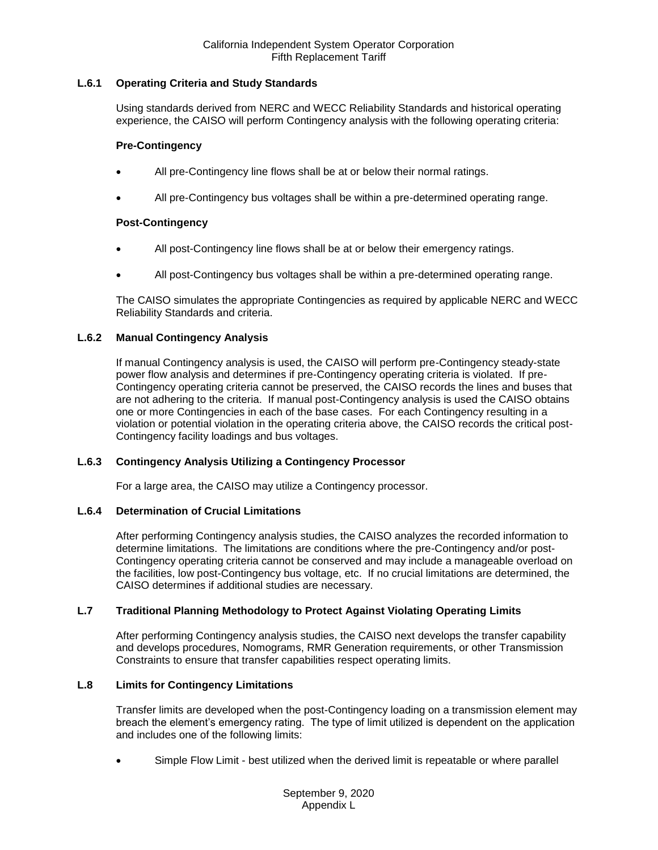## California Independent System Operator Corporation Fifth Replacement Tariff

## <span id="page-8-0"></span>**L.6.1 Operating Criteria and Study Standards**

Using standards derived from NERC and WECC Reliability Standards and historical operating experience, the CAISO will perform Contingency analysis with the following operating criteria:

#### **Pre-Contingency**

- All pre-Contingency line flows shall be at or below their normal ratings.
- All pre-Contingency bus voltages shall be within a pre-determined operating range.

## **Post-Contingency**

- All post-Contingency line flows shall be at or below their emergency ratings.
- All post-Contingency bus voltages shall be within a pre-determined operating range.

The CAISO simulates the appropriate Contingencies as required by applicable NERC and WECC Reliability Standards and criteria.

## <span id="page-8-1"></span>**L.6.2 Manual Contingency Analysis**

If manual Contingency analysis is used, the CAISO will perform pre-Contingency steady-state power flow analysis and determines if pre-Contingency operating criteria is violated. If pre-Contingency operating criteria cannot be preserved, the CAISO records the lines and buses that are not adhering to the criteria. If manual post-Contingency analysis is used the CAISO obtains one or more Contingencies in each of the base cases. For each Contingency resulting in a violation or potential violation in the operating criteria above, the CAISO records the critical post-Contingency facility loadings and bus voltages.

#### <span id="page-8-2"></span>**L.6.3 Contingency Analysis Utilizing a Contingency Processor**

For a large area, the CAISO may utilize a Contingency processor.

#### <span id="page-8-3"></span>**L.6.4 Determination of Crucial Limitations**

After performing Contingency analysis studies, the CAISO analyzes the recorded information to determine limitations. The limitations are conditions where the pre-Contingency and/or post-Contingency operating criteria cannot be conserved and may include a manageable overload on the facilities, low post-Contingency bus voltage, etc. If no crucial limitations are determined, the CAISO determines if additional studies are necessary.

#### <span id="page-8-4"></span>**L.7 Traditional Planning Methodology to Protect Against Violating Operating Limits**

After performing Contingency analysis studies, the CAISO next develops the transfer capability and develops procedures, Nomograms, RMR Generation requirements, or other Transmission Constraints to ensure that transfer capabilities respect operating limits.

## <span id="page-8-5"></span>**L.8 Limits for Contingency Limitations**

Transfer limits are developed when the post-Contingency loading on a transmission element may breach the element's emergency rating. The type of limit utilized is dependent on the application and includes one of the following limits:

Simple Flow Limit - best utilized when the derived limit is repeatable or where parallel